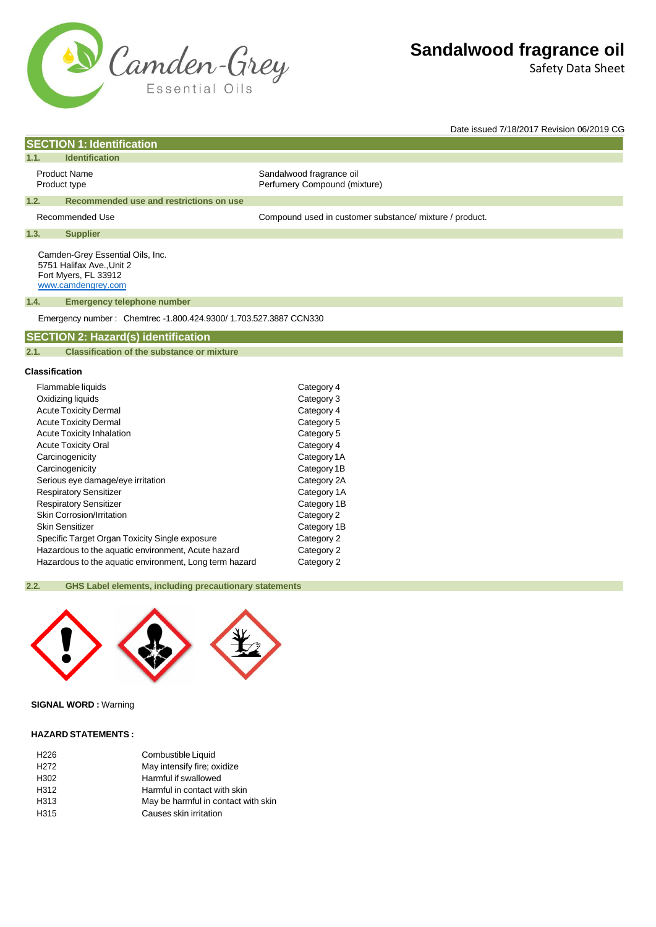

Safety Data Sheet

Date issued 7/18/2017 Revision 06/2019 CG

# **SECTION 1: Identification**

# **1.1. Identification**

Product Name Sandalwood fragrance oil Product type **Product type** Perfumery Compound (mixture)

#### **1.2. Recommended use and restrictions on use**

Recommended Use example and the Compound used in customer substance/ mixture / product.

### **1.3. Supplier**

Camden-Grey Essential Oils, Inc. 5751 Halifax Ave.,Unit 2 Fort Myers, FL 33912 [www.camdengrey.com](http://www.camdengrey.com/)

### **1.4. Emergency telephone number**

Emergency number : Chemtrec -1.800.424.9300/ 1.703.527.3887 CCN330

### **SECTION 2: Hazard(s) identification**

#### **2.1. Classification of the substance or mixture**

### **Classification**

| Flammable liquids                                      | Category 4  |
|--------------------------------------------------------|-------------|
| Oxidizing liquids                                      | Category 3  |
| <b>Acute Toxicity Dermal</b>                           | Category 4  |
| <b>Acute Toxicity Dermal</b>                           | Category 5  |
| <b>Acute Toxicity Inhalation</b>                       | Category 5  |
| <b>Acute Toxicity Oral</b>                             | Category 4  |
| Carcinogenicity                                        | Category 1A |
| Carcinogenicity                                        | Category 1B |
| Serious eye damage/eye irritation                      | Category 2A |
| <b>Respiratory Sensitizer</b>                          | Category 1A |
| <b>Respiratory Sensitizer</b>                          | Category 1B |
| Skin Corrosion/Irritation                              | Category 2  |
| Skin Sensitizer                                        | Category 1B |
| Specific Target Organ Toxicity Single exposure         | Category 2  |
| Hazardous to the aquatic environment, Acute hazard     | Category 2  |
| Hazardous to the aquatic environment, Long term hazard | Category 2  |

### **2.2. GHS Label elements, including precautionary statements**



# **SIGNAL WORD :** Warning

### **HAZARD STATEMENTS :**

| H <sub>226</sub> | Combustible Liquid                  |
|------------------|-------------------------------------|
| H <sub>272</sub> | May intensify fire; oxidize         |
| H <sub>302</sub> | Harmful if swallowed                |
| H312             | Harmful in contact with skin        |
| H313             | May be harmful in contact with skin |
| H <sub>315</sub> | Causes skin irritation              |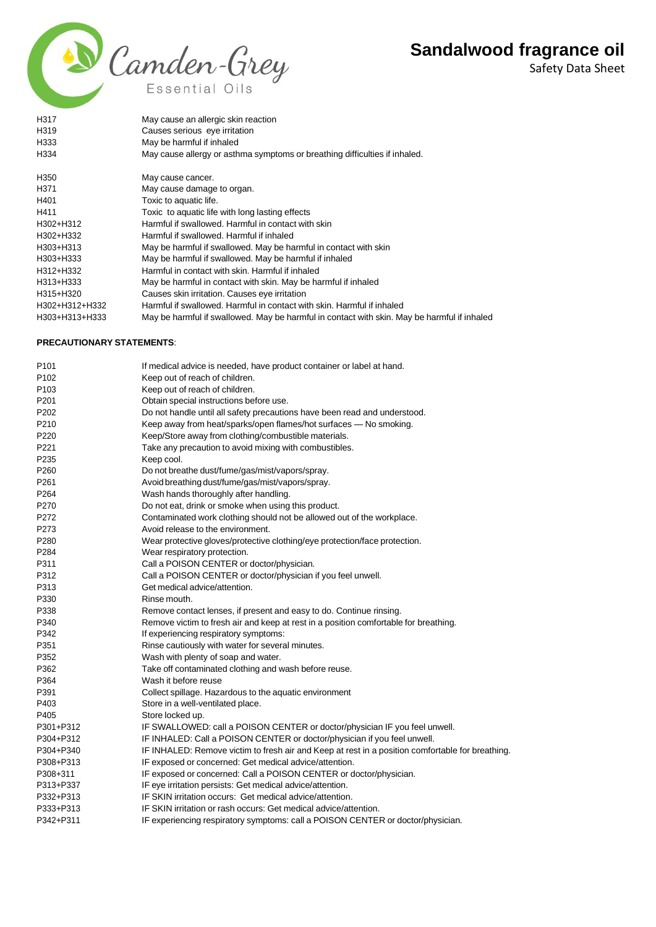Safety Data Sheet



| H317                             | May cause an allergic skin reaction                                                         |
|----------------------------------|---------------------------------------------------------------------------------------------|
| H319                             | Causes serious eye irritation                                                               |
| H333                             | May be harmful if inhaled                                                                   |
| H334                             | May cause allergy or asthma symptoms or breathing difficulties if inhaled.                  |
| H <sub>350</sub>                 | May cause cancer.                                                                           |
| H371                             | May cause damage to organ.                                                                  |
| H401                             | Toxic to aquatic life.                                                                      |
| H411                             | Toxic to aquatic life with long lasting effects                                             |
| H302+H312                        | Harmful if swallowed. Harmful in contact with skin                                          |
| H302+H332                        | Harmful if swallowed. Harmful if inhaled                                                    |
| H303+H313                        | May be harmful if swallowed. May be harmful in contact with skin                            |
| H303+H333                        | May be harmful if swallowed. May be harmful if inhaled                                      |
| H312+H332                        | Harmful in contact with skin. Harmful if inhaled                                            |
| H313+H333                        | May be harmful in contact with skin. May be harmful if inhaled                              |
| H315+H320                        | Causes skin irritation. Causes eye irritation                                               |
| H302+H312+H332                   | Harmful if swallowed. Harmful in contact with skin. Harmful if inhaled                      |
| H303+H313+H333                   | May be harmful if swallowed. May be harmful in contact with skin. May be harmful if inhaled |
| <b>PRECAUTIONARY STATEMENTS:</b> |                                                                                             |
| P <sub>101</sub>                 | If medical advice is needed, have product container or label at hand.                       |
| P <sub>102</sub>                 | Keep out of reach of children.                                                              |
| P <sub>103</sub>                 | Keep out of reach of children.                                                              |
| P <sub>201</sub>                 | Obtain special instructions before use.                                                     |
| P <sub>202</sub>                 | Do not handle until all safety precautions have been read and understood.                   |
| P210                             | Keep away from heat/sparks/open flames/hot surfaces - No smoking.                           |
| ∩פרת                             | Kaan/Ctare away from alathing/combustible materials                                         |

- P220 Keep/Store away from clothing/combustible materials.
- P221 Take any precaution to avoid mixing with combustibles.
- P235 Keep cool.
- P260 Do not breathe dust/fume/gas/mist/vapors/spray.
- P261 Avoidbreathing dust/fume/gas/mist/vapors/spray.
- P264 Wash hands thoroughly after handling.
- P270 Do not eat, drink or smoke when using this product.
- P272 Contaminated work clothing should not be allowed out of the workplace.
- P273 Avoid release to the environment.
- P280 Wear protective gloves/protective clothing/eye protection/face protection.
- P284 Wear respiratory protection.
- P311 Call a POISON CENTER or doctor/physician.
- P312 Call a POISON CENTER or doctor/physician if you feel unwell.
- P313 Get medical advice/attention.
- P330 Rinse mouth.
- P338 Remove contact lenses, if present and easy to do. Continue rinsing.
- P340 Remove victim to fresh air and keep at rest in a position comfortable for breathing.
- P342 **If experiencing respiratory symptoms:**
- P351 Rinse cautiously with water for several minutes.
- P352 Wash with plenty of soap and water.
- P362 Take off contaminated clothing and wash before reuse.
- P364 Wash it before reuse
- P391 Collect spillage. Hazardous to the aquatic environment
- P403 Store in a well-ventilated place. P405 Store locked up.
- P301+P312 IF SWALLOWED: call a POISON CENTER or doctor/physician IF you feel unwell.
- P304+P312 IF INHALED: Call a POISON CENTER or doctor/physician if you feel unwell.
- P304+P340 IF INHALED: Remove victim to fresh air and Keep at rest in a position comfortable for breathing.
- P308+P313 IF exposed or concerned: Get medical advice/attention.
- P308+311 IF exposed or concerned: Call a POISON CENTER or doctor/physician.
- P313+P337 IF eye irritation persists: Get medical advice/attention.
- P332+P313 IF SKIN irritation occurs: Get medical advice/attention.
- P333+P313 IF SKIN irritation or rash occurs: Get medical advice/attention.
- P342+P311 IF experiencing respiratory symptoms: call a POISON CENTER or doctor/physician.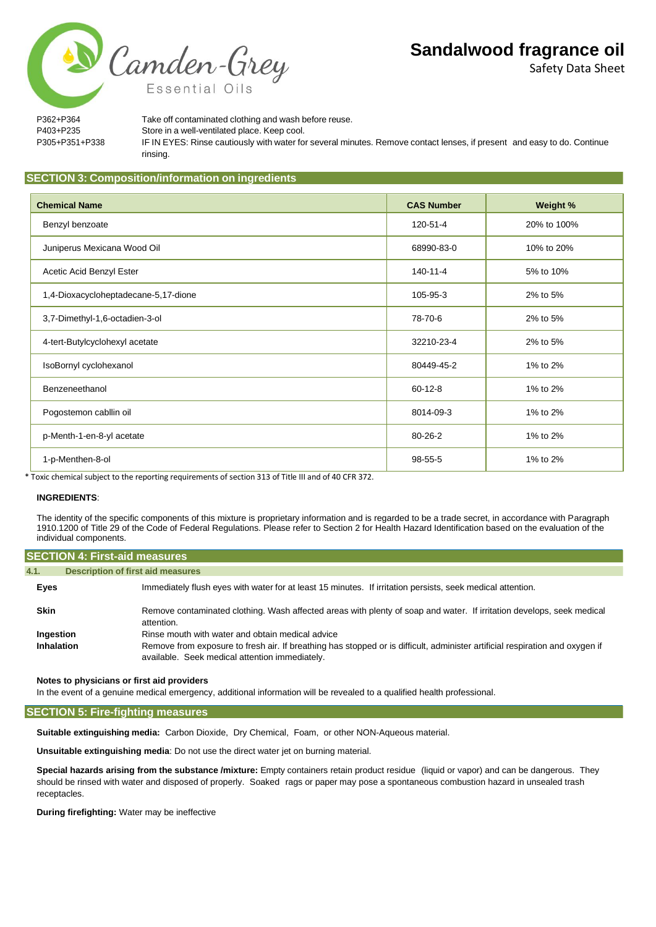Safety Data Sheet

P362+P364 Take off contaminated clothing and wash before reuse. P403+P235 Store in a well-ventilated place. Keep cool. P305+P351+P338 IF IN EYES: Rinse cautiously with water for several minutes. Remove contact lenses, if present and easy to do. Continue rinsing.

# **SECTION 3: Composition/information on ingredients**

| <b>Chemical Name</b>                 | <b>CAS Number</b> | Weight %    |
|--------------------------------------|-------------------|-------------|
| Benzyl benzoate                      | 120-51-4          | 20% to 100% |
| Juniperus Mexicana Wood Oil          | 68990-83-0        | 10% to 20%  |
| Acetic Acid Benzyl Ester             | 140-11-4          | 5% to 10%   |
| 1,4-Dioxacycloheptadecane-5,17-dione | 105-95-3          | 2% to 5%    |
| 3,7-Dimethyl-1,6-octadien-3-ol       | 78-70-6           | 2% to 5%    |
| 4-tert-Butylcyclohexyl acetate       | 32210-23-4        | 2% to 5%    |
| IsoBornyl cyclohexanol               | 80449-45-2        | 1% to 2%    |
| Benzeneethanol                       | $60 - 12 - 8$     | 1% to 2%    |
| Pogostemon cabilin oil               | 8014-09-3         | 1% to 2%    |
| p-Menth-1-en-8-yl acetate            | $80 - 26 - 2$     | 1% to 2%    |
| 1-p-Menthen-8-ol                     | 98-55-5           | 1% to 2%    |

\* Toxic chemical subject to the reporting requirements of section 313 of Title III and of 40 CFR 372.

### **INGREDIENTS**:

The identity of the specific components of this mixture is proprietary information and is regarded to be a trade secret, in accordance with Paragraph 1910.1200 of Title 29 of the Code of Federal Regulations. Please refer to Section 2 for Health Hazard Identification based on the evaluation of the individual components.

| <b>SECTION 4: First-aid measures</b> |                                                                                                                                                                                |
|--------------------------------------|--------------------------------------------------------------------------------------------------------------------------------------------------------------------------------|
| 4.1.                                 | <b>Description of first aid measures</b>                                                                                                                                       |
| Eyes                                 | Immediately flush eyes with water for at least 15 minutes. If irritation persists, seek medical attention.                                                                     |
| <b>Skin</b>                          | Remove contaminated clothing. Wash affected areas with plenty of soap and water. If irritation develops, seek medical<br>attention.                                            |
| Ingestion                            | Rinse mouth with water and obtain medical advice                                                                                                                               |
| Inhalation                           | Remove from exposure to fresh air. If breathing has stopped or is difficult, administer artificial respiration and oxygen if<br>available. Seek medical attention immediately. |

**Notes to physicians or first aid providers**

In the event of a genuine medical emergency, additional information will be revealed to a qualified health professional.

**SECTION 5: Fire-fighting measures**

**Suitable extinguishing media:** Carbon Dioxide, Dry Chemical, Foam, or other NON-Aqueous material.

**Unsuitable extinguishing media**: Do not use the direct water jet on burning material.

**Special hazards arising from the substance /mixture:** Empty containers retain product residue (liquid or vapor) and can be dangerous. They should be rinsed with water and disposed of properly. Soaked rags or paper may pose a spontaneous combustion hazard in unsealed trash receptacles.

**During firefighting:** Water may be ineffective

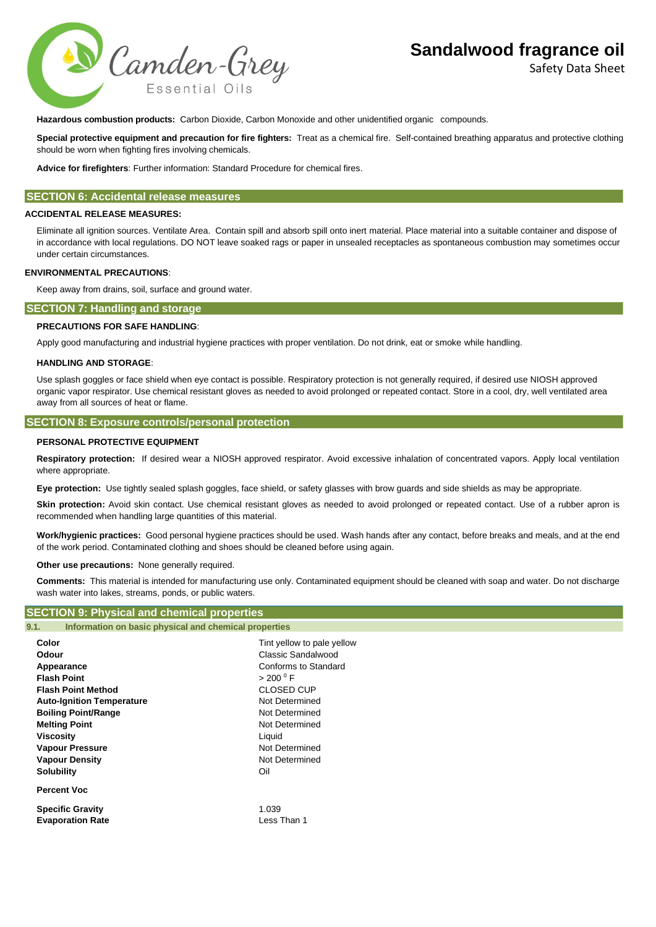



**Hazardous combustion products:** Carbon Dioxide, Carbon Monoxide and other unidentified organic compounds.

**Special protective equipment and precaution for fire fighters:** Treat as a chemical fire. Self-contained breathing apparatus and protective clothing should be worn when fighting fires involving chemicals.

**Advice for firefighters**: Further information: Standard Procedure for chemical fires.

## **SECTION 6: Accidental release measures**

### **ACCIDENTAL RELEASE MEASURES:**

Eliminate all ignition sources. Ventilate Area. Contain spill and absorb spill onto inert material. Place material into a suitable container and dispose of in accordance with local regulations. DO NOT leave soaked rags or paper in unsealed receptacles as spontaneous combustion may sometimes occur under certain circumstances.

### **ENVIRONMENTAL PRECAUTIONS**:

Keep away from drains, soil, surface and ground water.

### **SECTION 7: Handling and storage**

### **PRECAUTIONS FOR SAFE HANDLING**:

Apply good manufacturing and industrial hygiene practices with proper ventilation. Do not drink, eat or smoke while handling.

#### **HANDLING AND STORAGE**:

Use splash goggles or face shield when eye contact is possible. Respiratory protection is not generally required, if desired use NIOSH approved organic vapor respirator. Use chemical resistant gloves as needed to avoid prolonged or repeated contact. Store in a cool, dry, well ventilated area away from all sources of heat or flame.

## **SECTION 8: Exposure controls/personal protection**

### **PERSONAL PROTECTIVE EQUIPMENT**

**Respiratory protection:** If desired wear a NIOSH approved respirator. Avoid excessive inhalation of concentrated vapors. Apply local ventilation where appropriate.

**Eye protection:** Use tightly sealed splash goggles, face shield, or safety glasses with brow guards and side shields as may be appropriate.

**Skin protection:** Avoid skin contact. Use chemical resistant gloves as needed to avoid prolonged or repeated contact. Use of a rubber apron is recommended when handling large quantities of this material.

**Work/hygienic practices:** Good personal hygiene practices should be used. Wash hands after any contact, before breaks and meals, and at the end of the work period. Contaminated clothing and shoes should be cleaned before using again.

**Other use precautions:** None generally required.

**SECTION 9: Physical and chemical properties**

**Comments:** This material is intended for manufacturing use only. Contaminated equipment should be cleaned with soap and water. Do not discharge wash water into lakes, streams, ponds, or public waters.

| <u>ULUTION 9. FIIYSIU aliu Uliciniu al propertics</u>                                                                                                                                                                                                          |                                                                                                                                                                                                                                  |  |  |
|----------------------------------------------------------------------------------------------------------------------------------------------------------------------------------------------------------------------------------------------------------------|----------------------------------------------------------------------------------------------------------------------------------------------------------------------------------------------------------------------------------|--|--|
| Information on basic physical and chemical properties<br>9.1.                                                                                                                                                                                                  |                                                                                                                                                                                                                                  |  |  |
| Color<br>Odour<br>Appearance<br><b>Flash Point</b><br><b>Flash Point Method</b><br><b>Auto-Ignition Temperature</b><br><b>Boiling Point/Range</b><br><b>Melting Point</b><br>Viscosity<br><b>Vapour Pressure</b><br><b>Vapour Density</b><br><b>Solubility</b> | Tint yellow to pale yellow<br>Classic Sandalwood<br>Conforms to Standard<br>$>$ 200 $^{\circ}$ F<br><b>CLOSED CUP</b><br>Not Determined<br>Not Determined<br>Not Determined<br>Liquid<br>Not Determined<br>Not Determined<br>Oil |  |  |
| <b>Percent Voc</b>                                                                                                                                                                                                                                             |                                                                                                                                                                                                                                  |  |  |
| <b>Specific Gravity</b><br><b>Evaporation Rate</b>                                                                                                                                                                                                             | 1.039<br>Less Than 1                                                                                                                                                                                                             |  |  |
|                                                                                                                                                                                                                                                                |                                                                                                                                                                                                                                  |  |  |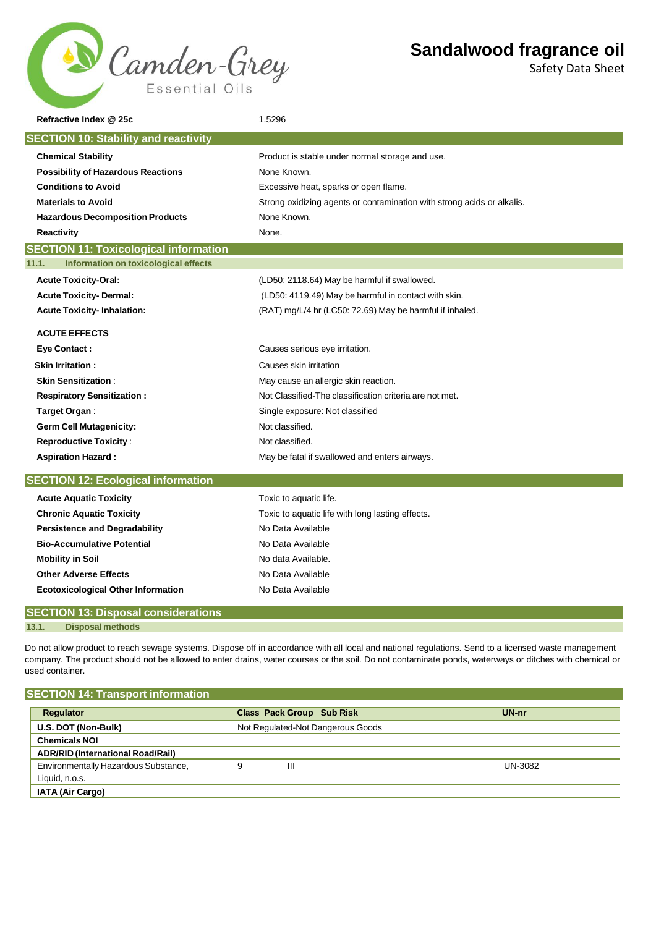

Safety Data Sheet

| Refractive Index @ 25c                        | 1.5296                                                                 |
|-----------------------------------------------|------------------------------------------------------------------------|
| <b>SECTION 10: Stability and reactivity</b>   |                                                                        |
|                                               |                                                                        |
| <b>Chemical Stability</b>                     | Product is stable under normal storage and use.                        |
| <b>Possibility of Hazardous Reactions</b>     | None Known.                                                            |
| <b>Conditions to Avoid</b>                    | Excessive heat, sparks or open flame.                                  |
| <b>Materials to Avoid</b>                     | Strong oxidizing agents or contamination with strong acids or alkalis. |
| <b>Hazardous Decomposition Products</b>       | None Known.                                                            |
| <b>Reactivity</b>                             | None.                                                                  |
| <b>SECTION 11: Toxicological information</b>  |                                                                        |
| Information on toxicological effects<br>11.1. |                                                                        |
| <b>Acute Toxicity-Oral:</b>                   | (LD50: 2118.64) May be harmful if swallowed.                           |
| <b>Acute Toxicity-Dermal:</b>                 | (LD50: 4119.49) May be harmful in contact with skin.                   |
| <b>Acute Toxicity-Inhalation:</b>             | (RAT) mg/L/4 hr (LC50: 72.69) May be harmful if inhaled.               |
| <b>ACUTE EFFECTS</b>                          |                                                                        |
| <b>Eye Contact:</b>                           | Causes serious eye irritation.                                         |
| <b>Skin Irritation :</b>                      | Causes skin irritation                                                 |
| <b>Skin Sensitization:</b>                    | May cause an allergic skin reaction.                                   |
| <b>Respiratory Sensitization:</b>             | Not Classified-The classification criteria are not met.                |
| Target Organ:                                 | Single exposure: Not classified                                        |
| <b>Germ Cell Mutagenicity:</b>                | Not classified.                                                        |
| <b>Reproductive Toxicity:</b>                 | Not classified.                                                        |
| <b>Aspiration Hazard:</b>                     | May be fatal if swallowed and enters airways.                          |
| <b>SECTION 12: Ecological information</b>     |                                                                        |
| <b>Acute Aquatic Toxicity</b>                 | Toxic to aquatic life.                                                 |
| <b>Chronic Aquatic Toxicity</b>               | Toxic to aquatic life with long lasting effects.                       |
| <b>Persistence and Degradability</b>          | No Data Available                                                      |
| <b>Bio-Accumulative Potential</b>             | No Data Available                                                      |
| <b>Mobility in Soil</b>                       | No data Available.                                                     |
| <b>Other Adverse Effects</b>                  | No Data Available                                                      |
| <b>Ecotoxicological Other Information</b>     | No Data Available                                                      |
| <b>SECTION 13: Disposal considerations</b>    |                                                                        |

**13.1. Disposal methods**

Do not allow product to reach sewage systems. Dispose off in accordance with all local and national regulations. Send to a licensed waste management company. The product should not be allowed to enter drains, water courses or the soil. Do not contaminate ponds, waterways or ditches with chemical or used container.

| <b>SECTION 14: Transport information</b> |   |                                   |         |
|------------------------------------------|---|-----------------------------------|---------|
| Regulator                                |   | <b>Class Pack Group Sub Risk</b>  | $UN-nr$ |
| U.S. DOT (Non-Bulk)                      |   | Not Regulated-Not Dangerous Goods |         |
| <b>Chemicals NOI</b>                     |   |                                   |         |
| <b>ADR/RID (International Road/Rail)</b> |   |                                   |         |
| Environmentally Hazardous Substance,     | 9 | Ш                                 | UN-3082 |
| Liquid, n.o.s.                           |   |                                   |         |
| <b>IATA (Air Cargo)</b>                  |   |                                   |         |